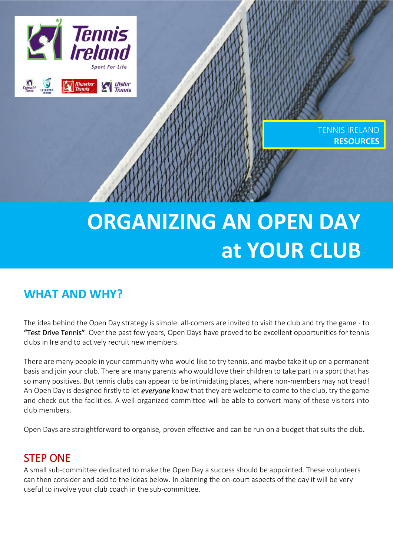# **Experience Tennis Ulster Tennis**

TENNIS IRELAND **RESOURCES**

# **ORGANIZING AN OPEN DAY at YOUR CLUB**

## **WHAT AND WHY?**

The idea behind the Open Day strategy is simple: all-comers are invited to visit the club and try the game - to "Test Drive Tennis". Over the past few years, Open Days have proved to be excellent opportunities for tennis clubs in Ireland to actively recruit new members.

There are many people in your community who would like to try tennis, and maybe take it up on a permanent basis and join your club. There are many parents who would love their children to take part in a sport that has so many positives. But tennis clubs can appear to be intimidating places, where non-members may not tread! An Open Day is designed firstly to let *everyone* know that they are welcome to come to the club, try the game and check out the facilities. A well-organized committee will be able to convert many of these visitors into club members.

Open Days are straightforward to organise, proven effective and can be run on a budget that suits the club.

### STEP ONE

A small sub-committee dedicated to make the Open Day a success should be appointed. These volunteers can then consider and add to the ideas below. In planning the on-court aspects of the day it will be very useful to involve your club coach in the sub-committee.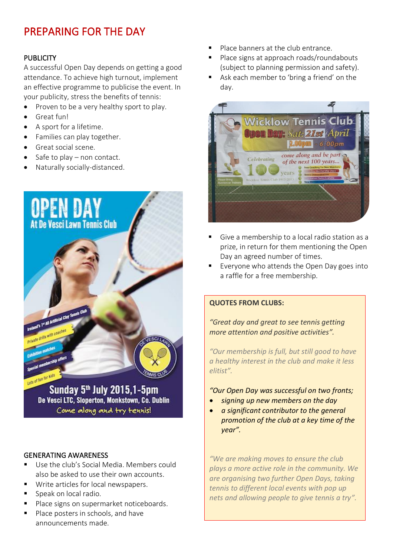### PREPARING FOR THE DAY

### PUBLICITY

A successful Open Day depends on getting a good attendance. To achieve high turnout, implement an effective programme to publicise the event. In your publicity, stress the benefits of tennis:

- Proven to be a very healthy sport to play.
- Great fun!
- A sport for a lifetime.
- Families can play together.
- Great social scene.
- Safe to play  $-$  non contact.
- Naturally socially-distanced.



Sunday 5<sup>th</sup> July 2015,1-5pm De Vesci LTC, Sloperton, Monkstown, Co. Dublin Come along and try tennis!

#### GENERATING AWARENESS

- Use the club's Social Media. Members could also be asked to use their own accounts.
- Write articles for local newspapers.
- Speak on local radio.
- Place signs on supermarket noticeboards.
- Place posters in schools, and have announcements made.
- Place banners at the club entrance.
- Place signs at approach roads/roundabouts (subject to planning permission and safety).
- Ask each member to 'bring a friend' on the day.



- Give a membership to a local radio station as a prize, in return for them mentioning the Open Day an agreed number of times.
- Everyone who attends the Open Day goes into a raffle for a free membership.

#### **QUOTES FROM CLUBS:**

*"Great day and great to see tennis getting more attention and positive activities".*

*"Our membership is full, but still good to have a healthy interest in the club and make it less elitist".*

*"Our Open Day was successful on two fronts;*

- *signing up new members on the day*
- *a significant contributor to the general promotion of the club at a key time of the year".*

*"We are making moves to ensure the club plays a more active role in the community. We are organising two further Open Days, taking tennis to different local events with pop up nets and allowing people to give tennis a try".*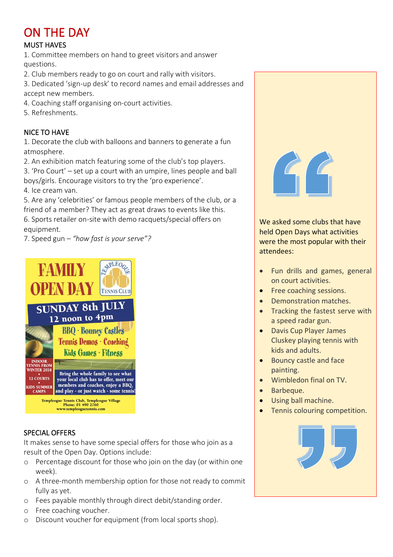## ON THE DAY

### MUST HAVES

1. Committee members on hand to greet visitors and answer questions.

2. Club members ready to go on court and rally with visitors.

3. Dedicated 'sign-up desk' to record names and email addresses and accept new members.

- 4. Coaching staff organising on-court activities.
- 5. Refreshments.

### NICE TO HAVE

1. Decorate the club with balloons and banners to generate a fun atmosphere.

2. An exhibition match featuring some of the club's top players.

3. 'Pro Court' – set up a court with an umpire, lines people and ball boys/girls. Encourage visitors to try the 'pro experience'.

4. Ice cream van.

5. Are any 'celebrities' or famous people members of the club, or a friend of a member? They act as great draws to events like this. 6. Sports retailer on-site with demo racquets/special offers on equipment.

7. Speed gun – *"how fast is your serve"?*



### SPECIAL OFFERS

It makes sense to have some special offers for those who join as a result of the Open Day. Options include:

- o Percentage discount for those who join on the day (or within one week).
- o A three-month membership option for those not ready to commit fully as yet.
- o Fees payable monthly through direct debit/standing order.
- o Free coaching voucher.
- o Discount voucher for equipment (from local sports shop).



 We asked some clubs that have held Open Days what activities were the **n**<br>attendees: were the most popular with their

- • Fun drills and games, general on court activities.
- Free coaching sessions.
- Thee coaching sessions.<br>• Demonstration matches.
- Tracking the fastest serve with a speed radar gun.
- • Davis Cup Player James kids and adults. Cluskey playing tennis with
- • Bouncy castle and face painting.
- Wimbledon final on TV.
- Barbeque.

- Barbeque.<br>● Using ball machine.
- Tennis colouring competition.